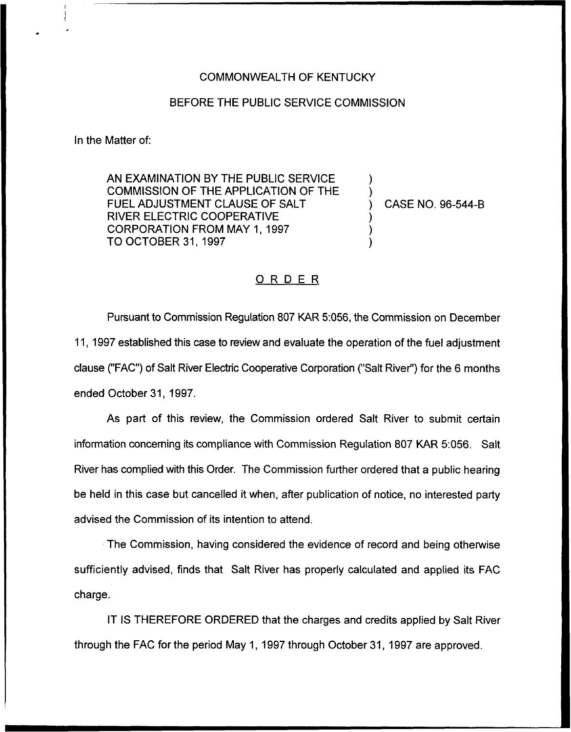## COMMONWEALTH OF KENTUCKY

## BEFORE THE PUBLIC SERVICE COMMISSION

In the Matter of:

AN EXAMINATION BY THE PUBLIC SERVICE COMMISSION OF THE APPLICATION OF THE FUEL ADJUSTMENT CLAUSE OF SALT RIVER ELECTRIC COOPERATIVE CORPORATION FROM MAY 1, 1997 TO OCTOBER 31, 1997

) CASE NO. 96-544-B

) )

) ) )

## ORDER

Pursuant to Commission Regulation 807 KAR 5:056, the Commission on December 11, 1997 established this case to review and evaluate the operation of the fuel adjustment clause ("FAC") of Salt River Electric Cooperative Corporation ("Salt River") for the 6 month ended October 31, 1997.

As part of this review, the Commission ordered Salt River to submit certain information concerning its compliance with Commission Regulation 807 KAR 5:056. Salt River has complied with this Order. The Commission further ordered that a public hearing be held in this case but cancelled it when, after publication of notice, no interested party advised the Commission of its intention to attend.

The Commission, having considered the evidence of record and being otherwise sufficiently advised, finds that Salt River has properly calculated and applied its FAC charge.

IT IS THEREFORE ORDERED that the charges and credits applied by Salt River through the FAC for the period May 1, 1997 through October 31, 1997 are approved.